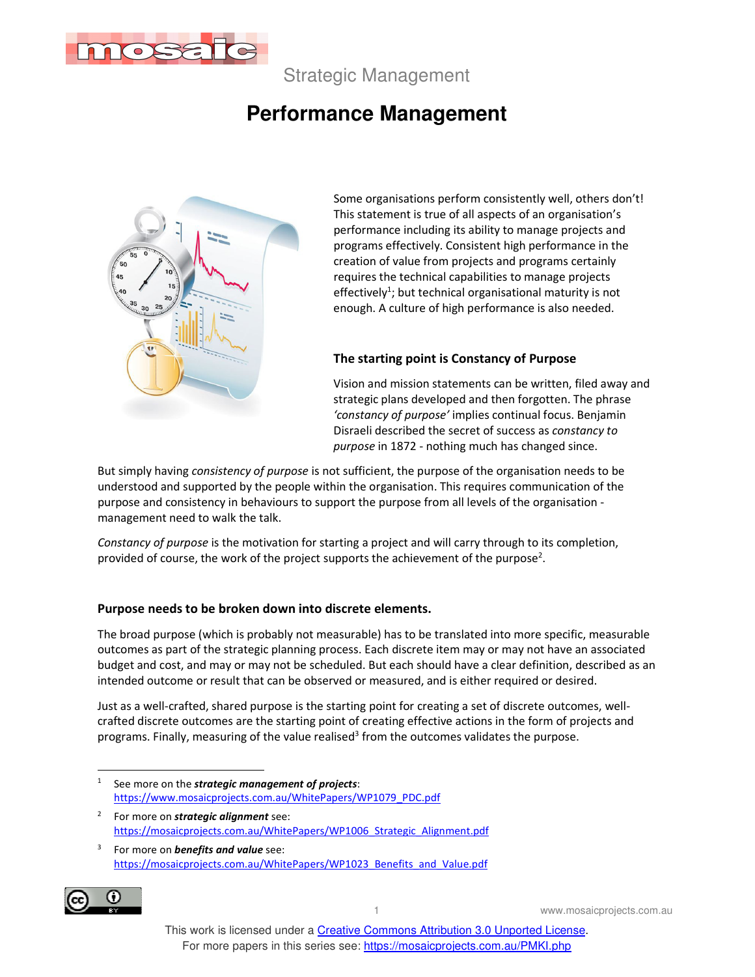

Strategic Management

# **Performance Management**



Some organisations perform consistently well, others don't! This statement is true of all aspects of an organisation's performance including its ability to manage projects and programs effectively. Consistent high performance in the creation of value from projects and programs certainly requires the technical capabilities to manage projects effectively<sup>1</sup>; but technical organisational maturity is not enough. A culture of high performance is also needed.

#### **The starting point is Constancy of Purpose**

Vision and mission statements can be written, filed away and strategic plans developed and then forgotten. The phrase *'constancy of purpose'* implies continual focus. Benjamin Disraeli described the secret of success as *constancy to purpose* in 1872 - nothing much has changed since.

But simply having *consistency of purpose* is not sufficient, the purpose of the organisation needs to be understood and supported by the people within the organisation. This requires communication of the purpose and consistency in behaviours to support the purpose from all levels of the organisation management need to walk the talk.

*Constancy of purpose* is the motivation for starting a project and will carry through to its completion, provided of course, the work of the project supports the achievement of the purpose<sup>2</sup>.

#### **Purpose needs to be broken down into discrete elements.**

The broad purpose (which is probably not measurable) has to be translated into more specific, measurable outcomes as part of the strategic planning process. Each discrete item may or may not have an associated budget and cost, and may or may not be scheduled. But each should have a clear definition, described as an intended outcome or result that can be observed or measured, and is either required or desired.

Just as a well-crafted, shared purpose is the starting point for creating a set of discrete outcomes, wellcrafted discrete outcomes are the starting point of creating effective actions in the form of projects and programs. Finally, measuring of the value realised<sup>3</sup> from the outcomes validates the purpose.

- 1 See more on the *strategic management of projects*: https://www.mosaicprojects.com.au/WhitePapers/WP1079\_PDC.pdf
- 2 For more on *strategic alignment* see: https://mosaicprojects.com.au/WhitePapers/WP1006\_Strategic\_Alignment.pdf

<sup>3</sup> For more on *benefits and value* see: https://mosaicprojects.com.au/WhitePapers/WP1023\_Benefits\_and\_Value.pdf



1 www.mosaicprojects.com.au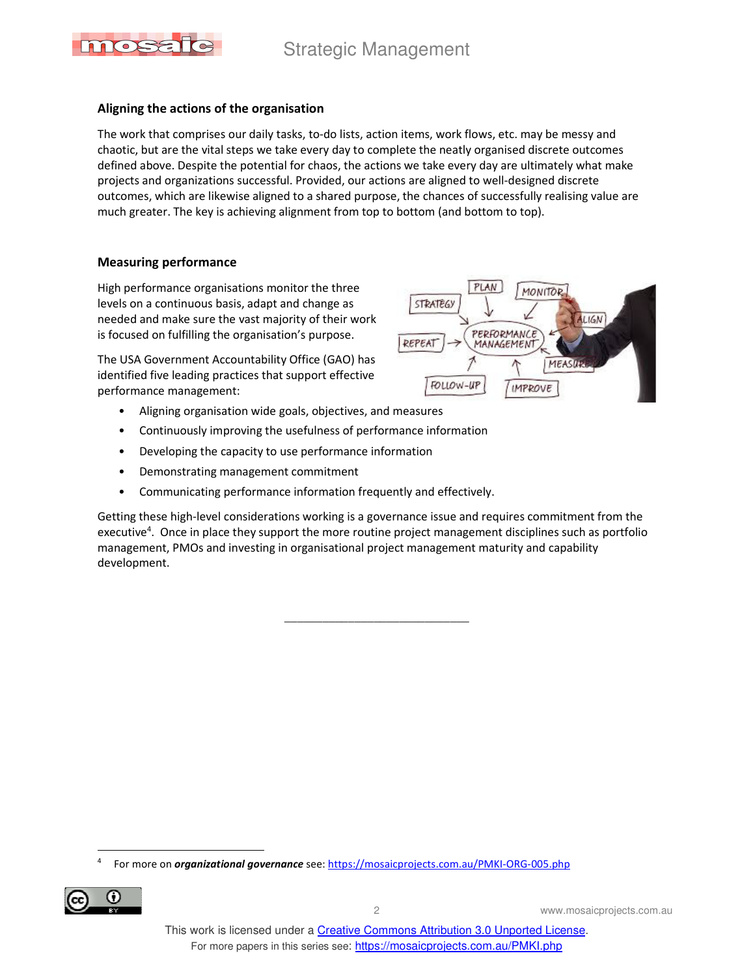

### **Aligning the actions of the organisation**

The work that comprises our daily tasks, to-do lists, action items, work flows, etc. may be messy and chaotic, but are the vital steps we take every day to complete the neatly organised discrete outcomes defined above. Despite the potential for chaos, the actions we take every day are ultimately what make projects and organizations successful. Provided, our actions are aligned to well-designed discrete outcomes, which are likewise aligned to a shared purpose, the chances of successfully realising value are much greater. The key is achieving alignment from top to bottom (and bottom to top).

PLAN

PERFORMANCE

MANAGEMENT

**STRATEGY** 

FOLLOW-UP

REPEAT

**MONITOR** 

**IMPROVE** 

**MEASU** 

LIGN

#### **Measuring performance**

High performance organisations monitor the three levels on a continuous basis, adapt and change as needed and make sure the vast majority of their work is focused on fulfilling the organisation's purpose.

The USA Government Accountability Office (GAO) has identified five leading practices that support effective performance management:

- Aligning organisation wide goals, objectives, and measures
- Continuously improving the usefulness of performance information
- Developing the capacity to use performance information
- Demonstrating management commitment
- Communicating performance information frequently and effectively.

Getting these high-level considerations working is a governance issue and requires commitment from the executive<sup>4</sup>. Once in place they support the more routine project management disciplines such as portfolio management, PMOs and investing in organisational project management maturity and capability development.

 $\frac{1}{2}$